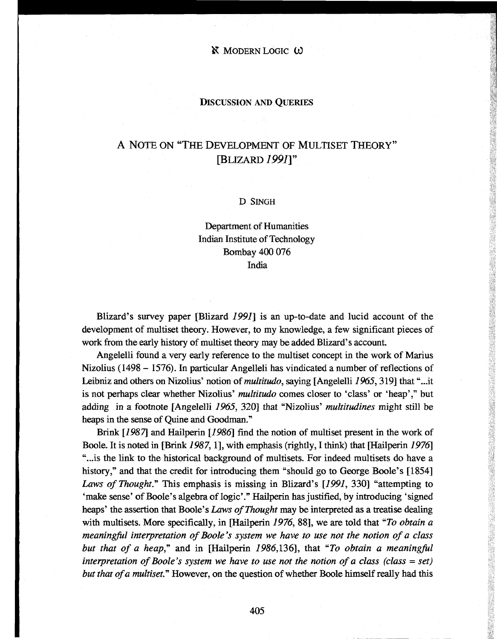**N** MODERN LOGIC W

### DISCUSSION AND QUEMES

# A NOTE ON "THE DEVELOPMENT OF MULTISET THEORY" [BLIZARD *1991Y*

#### D SINGH

## Department of Humanities Indian Institute of Technology Bombay 400 076 India

Blizard's survey paper [Blizard *1991]* is an up-to-date and lucid account of the development of multiset theory. However, to my knowledge, a few significant pieces of work from the early history of multiset theory may be added Blizard's account.

Angelelli found a very early reference to the multiset concept in the work of Marius Nizolius (1498 - 1576). In particular Angelleli has vindicated a number of reflections of Leibniz and others on Nizolius' notion of *multitudo,* saying [Angelelli *1965,*319] that "...it is not perhaps clear whether Nizolius' *multitudo* comes closer to 'class' or 'heap'," but adding in a footnote [Angelelli *1965,* 320] that "Nizolius' *multitudines* might still be heaps in the sense of Quine and Goodman."

Brink *[1987]* and Hailperin *[1986]* find the notion of multiset present in the work of Boole. It is noted in [Brink *1987,*1], with emphasis (rightly, I think) that [Hailperin *1976]* "...is the link to the historical background of multisets. For indeed multisets do have a history," and that the credit for introducing them "should go to George Boole's [1854] *Laws of Thought."* This emphasis is missing in Blizard's *[1991,* 330] "attempting to 'make sense' of Boole's algebra of logic'." Hailperin has justified, by introducing 'signed heaps' the assertion that Boole's *Laws of Thought* may be interpreted as a treatise dealing with multisets. More specifically, in [Hailperin 1976, 88], we are told that "*To obtain a meaningful interpretation of Boole's system we have to use not the notion of a class but that of a heap*," and in [Hailperin 1986,136], that "To obtain a meaningful *interpretation of Boole's system we have to use not the notion of a class (class* = *set) but that of a multiset."* However, on the question of whether Boole himself really had this